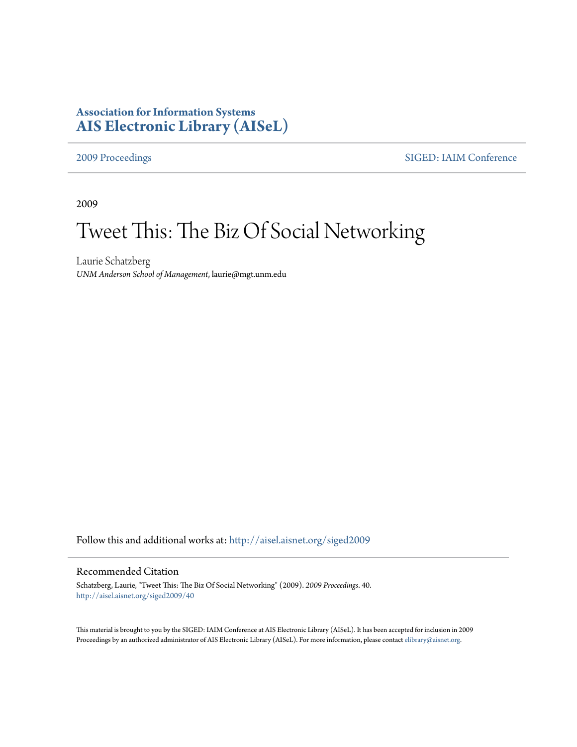# **Association for Information Systems [AIS Electronic Library \(AISeL\)](http://aisel.aisnet.org?utm_source=aisel.aisnet.org%2Fsiged2009%2F40&utm_medium=PDF&utm_campaign=PDFCoverPages)**

[2009 Proceedings](http://aisel.aisnet.org/siged2009?utm_source=aisel.aisnet.org%2Fsiged2009%2F40&utm_medium=PDF&utm_campaign=PDFCoverPages) [SIGED: IAIM Conference](http://aisel.aisnet.org/siged?utm_source=aisel.aisnet.org%2Fsiged2009%2F40&utm_medium=PDF&utm_campaign=PDFCoverPages)

2009

# Tweet This: The Biz Of Social Networking

Laurie Schatzberg *UNM Anderson School of Management*, laurie@mgt.unm.edu

Follow this and additional works at: [http://aisel.aisnet.org/siged2009](http://aisel.aisnet.org/siged2009?utm_source=aisel.aisnet.org%2Fsiged2009%2F40&utm_medium=PDF&utm_campaign=PDFCoverPages)

# Recommended Citation

Schatzberg, Laurie, "Tweet This: The Biz Of Social Networking" (2009). *2009 Proceedings*. 40. [http://aisel.aisnet.org/siged2009/40](http://aisel.aisnet.org/siged2009/40?utm_source=aisel.aisnet.org%2Fsiged2009%2F40&utm_medium=PDF&utm_campaign=PDFCoverPages)

This material is brought to you by the SIGED: IAIM Conference at AIS Electronic Library (AISeL). It has been accepted for inclusion in 2009 Proceedings by an authorized administrator of AIS Electronic Library (AISeL). For more information, please contact [elibrary@aisnet.org](mailto:elibrary@aisnet.org%3E).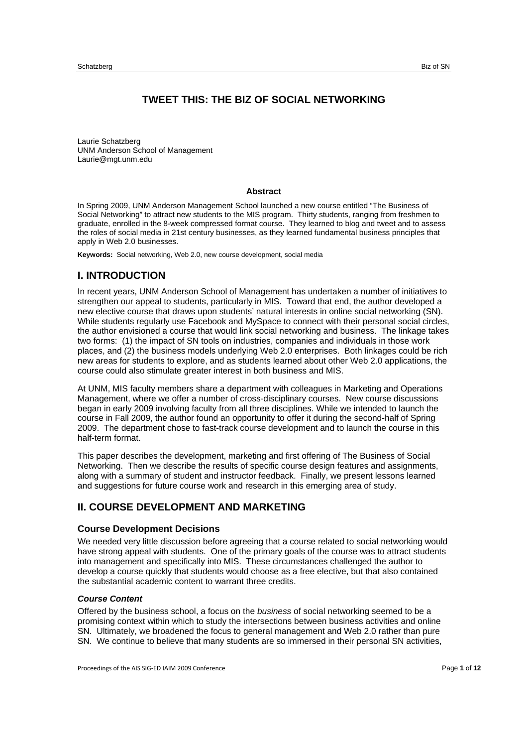# **TWEET THIS: THE BIZ OF SOCIAL NETWORKING**

Laurie Schatzberg UNM Anderson School of Management Laurie@mgt.unm.edu

#### **Abstract**

In Spring 2009, UNM Anderson Management School launched a new course entitled "The Business of Social Networking" to attract new students to the MIS program. Thirty students, ranging from freshmen to graduate, enrolled in the 8-week compressed format course. They learned to blog and tweet and to assess the roles of social media in 21st century businesses, as they learned fundamental business principles that apply in Web 2.0 businesses.

**Keywords:** Social networking, Web 2.0, new course development, social media

## **I. INTRODUCTION**

In recent years, UNM Anderson School of Management has undertaken a number of initiatives to strengthen our appeal to students, particularly in MIS. Toward that end, the author developed a new elective course that draws upon students' natural interests in online social networking (SN). While students regularly use Facebook and MySpace to connect with their personal social circles, the author envisioned a course that would link social networking and business. The linkage takes two forms: (1) the impact of SN tools on industries, companies and individuals in those work places, and (2) the business models underlying Web 2.0 enterprises. Both linkages could be rich new areas for students to explore, and as students learned about other Web 2.0 applications, the course could also stimulate greater interest in both business and MIS.

At UNM, MIS faculty members share a department with colleagues in Marketing and Operations Management, where we offer a number of cross-disciplinary courses. New course discussions began in early 2009 involving faculty from all three disciplines. While we intended to launch the course in Fall 2009, the author found an opportunity to offer it during the second-half of Spring 2009. The department chose to fast-track course development and to launch the course in this half-term format.

This paper describes the development, marketing and first offering of The Business of Social Networking. Then we describe the results of specific course design features and assignments, along with a summary of student and instructor feedback. Finally, we present lessons learned and suggestions for future course work and research in this emerging area of study.

# **II. COURSE DEVELOPMENT AND MARKETING**

#### **Course Development Decisions**

We needed very little discussion before agreeing that a course related to social networking would have strong appeal with students. One of the primary goals of the course was to attract students into management and specifically into MIS. These circumstances challenged the author to develop a course quickly that students would choose as a free elective, but that also contained the substantial academic content to warrant three credits.

#### *Course Content*

Offered by the business school, a focus on the *business* of social networking seemed to be a promising context within which to study the intersections between business activities and online SN. Ultimately, we broadened the focus to general management and Web 2.0 rather than pure SN. We continue to believe that many students are so immersed in their personal SN activities,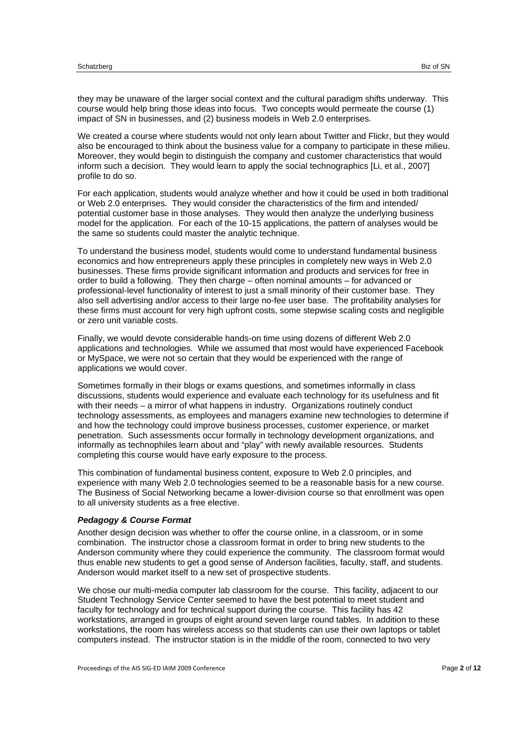they may be unaware of the larger social context and the cultural paradigm shifts underway. This course would help bring those ideas into focus. Two concepts would permeate the course (1) impact of SN in businesses, and (2) business models in Web 2.0 enterprises.

We created a course where students would not only learn about Twitter and Flickr, but they would also be encouraged to think about the business value for a company to participate in these milieu. Moreover, they would begin to distinguish the company and customer characteristics that would inform such a decision. They would learn to apply the social technographics [Li, et al., 2007] profile to do so.

For each application, students would analyze whether and how it could be used in both traditional or Web 2.0 enterprises. They would consider the characteristics of the firm and intended/ potential customer base in those analyses. They would then analyze the underlying business model for the application. For each of the 10-15 applications, the pattern of analyses would be the same so students could master the analytic technique.

To understand the business model, students would come to understand fundamental business economics and how entrepreneurs apply these principles in completely new ways in Web 2.0 businesses. These firms provide significant information and products and services for free in order to build a following. They then charge – often nominal amounts – for advanced or professional-level functionality of interest to just a small minority of their customer base. They also sell advertising and/or access to their large no-fee user base. The profitability analyses for these firms must account for very high upfront costs, some stepwise scaling costs and negligible or zero unit variable costs.

Finally, we would devote considerable hands-on time using dozens of different Web 2.0 applications and technologies. While we assumed that most would have experienced Facebook or MySpace, we were not so certain that they would be experienced with the range of applications we would cover.

Sometimes formally in their blogs or exams questions, and sometimes informally in class discussions, students would experience and evaluate each technology for its usefulness and fit with their needs – a mirror of what happens in industry. Organizations routinely conduct technology assessments, as employees and managers examine new technologies to determine if and how the technology could improve business processes, customer experience, or market penetration. Such assessments occur formally in technology development organizations, and informally as technophiles learn about and "play" with newly available resources. Students completing this course would have early exposure to the process.

This combination of fundamental business content, exposure to Web 2.0 principles, and experience with many Web 2.0 technologies seemed to be a reasonable basis for a new course. The Business of Social Networking became a lower-division course so that enrollment was open to all university students as a free elective.

#### *Pedagogy & Course Format*

Another design decision was whether to offer the course online, in a classroom, or in some combination. The instructor chose a classroom format in order to bring new students to the Anderson community where they could experience the community. The classroom format would thus enable new students to get a good sense of Anderson facilities, faculty, staff, and students. Anderson would market itself to a new set of prospective students.

We chose our multi-media computer lab classroom for the course. This facility, adjacent to our Student Technology Service Center seemed to have the best potential to meet student and faculty for technology and for technical support during the course. This facility has 42 workstations, arranged in groups of eight around seven large round tables. In addition to these workstations, the room has wireless access so that students can use their own laptops or tablet computers instead. The instructor station is in the middle of the room, connected to two very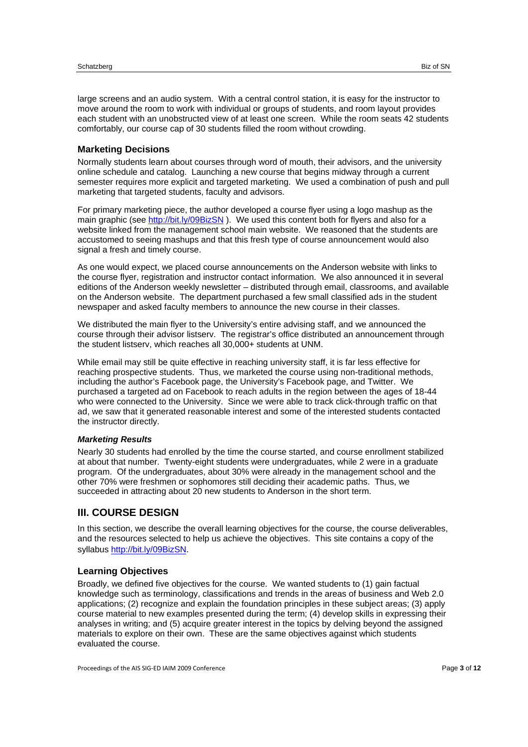large screens and an audio system. With a central control station, it is easy for the instructor to move around the room to work with individual or groups of students, and room layout provides each student with an unobstructed view of at least one screen. While the room seats 42 students comfortably, our course cap of 30 students filled the room without crowding.

# **Marketing Decisions**

Normally students learn about courses through word of mouth, their advisors, and the university online schedule and catalog. Launching a new course that begins midway through a current semester requires more explicit and targeted marketing. We used a combination of push and pull marketing that targeted students, faculty and advisors.

For primary marketing piece, the author developed a course flyer using a logo mashup as the main graphic (see http://bit.ly/09BizSN). We used this content both for flyers and also for a website linked from the management school main website. We reasoned that the students are accustomed to seeing mashups and that this fresh type of course announcement would also signal a fresh and timely course.

As one would expect, we placed course announcements on the Anderson website with links to the course flyer, registration and instructor contact information. We also announced it in several editions of the Anderson weekly newsletter – distributed through email, classrooms, and available on the Anderson website. The department purchased a few small classified ads in the student newspaper and asked faculty members to announce the new course in their classes.

We distributed the main flyer to the University's entire advising staff, and we announced the course through their advisor listserv. The registrar's office distributed an announcement through the student listserv, which reaches all 30,000+ students at UNM.

While email may still be quite effective in reaching university staff, it is far less effective for reaching prospective students. Thus, we marketed the course using non-traditional methods, including the author's Facebook page, the University's Facebook page, and Twitter. We purchased a targeted ad on Facebook to reach adults in the region between the ages of 18-44 who were connected to the University. Since we were able to track click-through traffic on that ad, we saw that it generated reasonable interest and some of the interested students contacted the instructor directly.

#### *Marketing Results*

Nearly 30 students had enrolled by the time the course started, and course enrollment stabilized at about that number. Twenty-eight students were undergraduates, while 2 were in a graduate program. Of the undergraduates, about 30% were already in the management school and the other 70% were freshmen or sophomores still deciding their academic paths. Thus, we succeeded in attracting about 20 new students to Anderson in the short term.

# **III. COURSE DESIGN**

In this section, we describe the overall learning objectives for the course, the course deliverables, and the resources selected to help us achieve the objectives. This site contains a copy of the syllabus http://bit.ly/09BizSN.

#### **Learning Objectives**

Broadly, we defined five objectives for the course. We wanted students to (1) gain factual knowledge such as terminology, classifications and trends in the areas of business and Web 2.0 applications; (2) recognize and explain the foundation principles in these subject areas; (3) apply course material to new examples presented during the term; (4) develop skills in expressing their analyses in writing; and (5) acquire greater interest in the topics by delving beyond the assigned materials to explore on their own. These are the same objectives against which students evaluated the course.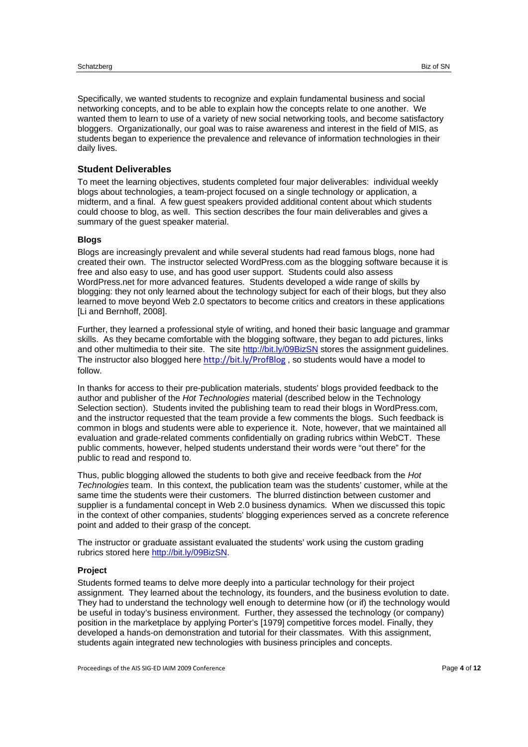Specifically, we wanted students to recognize and explain fundamental business and social networking concepts, and to be able to explain how the concepts relate to one another. We wanted them to learn to use of a variety of new social networking tools, and become satisfactory bloggers. Organizationally, our goal was to raise awareness and interest in the field of MIS, as students began to experience the prevalence and relevance of information technologies in their daily lives.

## **Student Deliverables**

To meet the learning objectives, students completed four major deliverables: individual weekly blogs about technologies, a team-project focused on a single technology or application, a midterm, and a final. A few guest speakers provided additional content about which students could choose to blog, as well. This section describes the four main deliverables and gives a summary of the guest speaker material.

#### **Blogs**

Blogs are increasingly prevalent and while several students had read famous blogs, none had created their own. The instructor selected WordPress.com as the blogging software because it is free and also easy to use, and has good user support. Students could also assess WordPress.net for more advanced features. Students developed a wide range of skills by blogging: they not only learned about the technology subject for each of their blogs, but they also learned to move beyond Web 2.0 spectators to become critics and creators in these applications [Li and Bernhoff, 2008].

Further, they learned a professional style of writing, and honed their basic language and grammar skills. As they became comfortable with the blogging software, they began to add pictures, links and other multimedia to their site. The site http://bit.ly/09BizSN stores the assignment guidelines. The instructor also blogged here http://bit.ly/ProfBlog, so students would have a model to follow.

In thanks for access to their pre-publication materials, students' blogs provided feedback to the author and publisher of the *Hot Technologies* material (described below in the Technology Selection section). Students invited the publishing team to read their blogs in WordPress.com, and the instructor requested that the team provide a few comments the blogs. Such feedback is common in blogs and students were able to experience it. Note, however, that we maintained all evaluation and grade-related comments confidentially on grading rubrics within WebCT. These public comments, however, helped students understand their words were "out there" for the public to read and respond to.

Thus, public blogging allowed the students to both give and receive feedback from the *Hot Technologies* team. In this context, the publication team was the students' customer, while at the same time the students were their customers. The blurred distinction between customer and supplier is a fundamental concept in Web 2.0 business dynamics. When we discussed this topic in the context of other companies, students' blogging experiences served as a concrete reference point and added to their grasp of the concept.

The instructor or graduate assistant evaluated the students' work using the custom grading rubrics stored here http://bit.ly/09BizSN.

#### **Project**

Students formed teams to delve more deeply into a particular technology for their project assignment. They learned about the technology, its founders, and the business evolution to date. They had to understand the technology well enough to determine how (or if) the technology would be useful in today's business environment. Further, they assessed the technology (or company) position in the marketplace by applying Porter's [1979] competitive forces model. Finally, they developed a hands-on demonstration and tutorial for their classmates. With this assignment, students again integrated new technologies with business principles and concepts.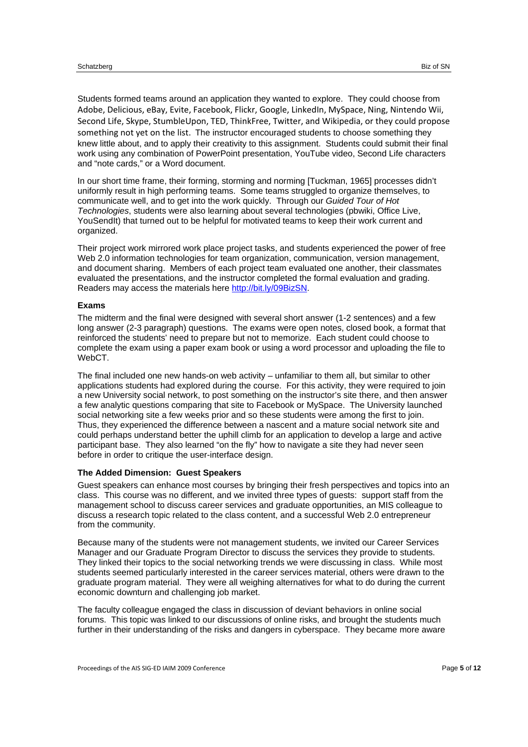Students formed teams around an application they wanted to explore. They could choose from Adobe, Delicious, eBay, Evite, Facebook, Flickr, Google, LinkedIn, MySpace, Ning, Nintendo Wii, Second Life, Skype, StumbleUpon, TED, ThinkFree, Twitter, and Wikipedia, or they could propose something not yet on the list. The instructor encouraged students to choose something they knew little about, and to apply their creativity to this assignment. Students could submit their final work using any combination of PowerPoint presentation, YouTube video, Second Life characters and "note cards," or a Word document.

In our short time frame, their forming, storming and norming [Tuckman, 1965] processes didn't uniformly result in high performing teams. Some teams struggled to organize themselves, to communicate well, and to get into the work quickly. Through our *Guided Tour of Hot Technologies*, students were also learning about several technologies (pbwiki, Office Live, YouSendIt) that turned out to be helpful for motivated teams to keep their work current and organized.

Their project work mirrored work place project tasks, and students experienced the power of free Web 2.0 information technologies for team organization, communication, version management, and document sharing. Members of each project team evaluated one another, their classmates evaluated the presentations, and the instructor completed the formal evaluation and grading. Readers may access the materials here http://bit.ly/09BizSN.

#### **Exams**

The midterm and the final were designed with several short answer (1-2 sentences) and a few long answer (2-3 paragraph) questions. The exams were open notes, closed book, a format that reinforced the students' need to prepare but not to memorize. Each student could choose to complete the exam using a paper exam book or using a word processor and uploading the file to WebCT.

The final included one new hands-on web activity – unfamiliar to them all, but similar to other applications students had explored during the course. For this activity, they were required to join a new University social network, to post something on the instructor's site there, and then answer a few analytic questions comparing that site to Facebook or MySpace. The University launched social networking site a few weeks prior and so these students were among the first to join. Thus, they experienced the difference between a nascent and a mature social network site and could perhaps understand better the uphill climb for an application to develop a large and active participant base. They also learned "on the fly" how to navigate a site they had never seen before in order to critique the user-interface design.

#### **The Added Dimension: Guest Speakers**

Guest speakers can enhance most courses by bringing their fresh perspectives and topics into an class. This course was no different, and we invited three types of guests: support staff from the management school to discuss career services and graduate opportunities, an MIS colleague to discuss a research topic related to the class content, and a successful Web 2.0 entrepreneur from the community.

Because many of the students were not management students, we invited our Career Services Manager and our Graduate Program Director to discuss the services they provide to students. They linked their topics to the social networking trends we were discussing in class. While most students seemed particularly interested in the career services material, others were drawn to the graduate program material. They were all weighing alternatives for what to do during the current economic downturn and challenging job market.

The faculty colleague engaged the class in discussion of deviant behaviors in online social forums. This topic was linked to our discussions of online risks, and brought the students much further in their understanding of the risks and dangers in cyberspace. They became more aware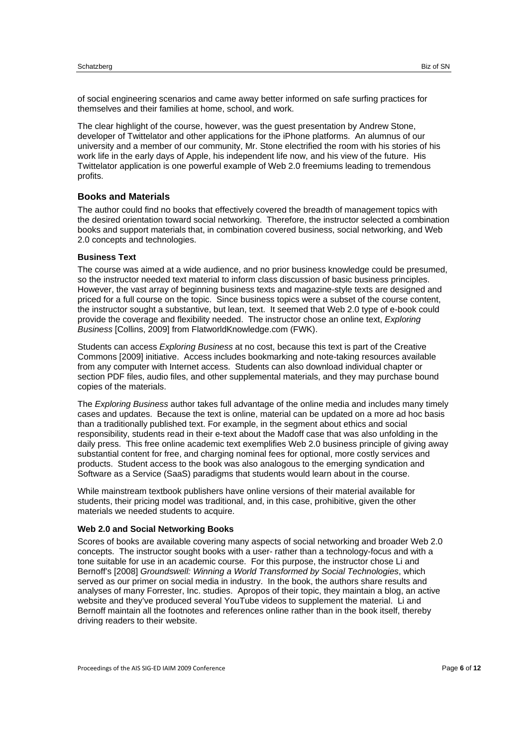of social engineering scenarios and came away better informed on safe surfing practices for themselves and their families at home, school, and work.

The clear highlight of the course, however, was the guest presentation by Andrew Stone, developer of Twittelator and other applications for the iPhone platforms. An alumnus of our university and a member of our community, Mr. Stone electrified the room with his stories of his work life in the early days of Apple, his independent life now, and his view of the future. His Twittelator application is one powerful example of Web 2.0 freemiums leading to tremendous profits.

#### **Books and Materials**

The author could find no books that effectively covered the breadth of management topics with the desired orientation toward social networking. Therefore, the instructor selected a combination books and support materials that, in combination covered business, social networking, and Web 2.0 concepts and technologies.

#### **Business Text**

The course was aimed at a wide audience, and no prior business knowledge could be presumed, so the instructor needed text material to inform class discussion of basic business principles. However, the vast array of beginning business texts and magazine-style texts are designed and priced for a full course on the topic. Since business topics were a subset of the course content, the instructor sought a substantive, but lean, text. It seemed that Web 2.0 type of e-book could provide the coverage and flexibility needed. The instructor chose an online text, *Exploring Business* [Collins, 2009] from FlatworldKnowledge.com (FWK).

Students can access *Exploring Business* at no cost, because this text is part of the Creative Commons [2009] initiative. Access includes bookmarking and note-taking resources available from any computer with Internet access. Students can also download individual chapter or section PDF files, audio files, and other supplemental materials, and they may purchase bound copies of the materials.

The *Exploring Business* author takes full advantage of the online media and includes many timely cases and updates. Because the text is online, material can be updated on a more ad hoc basis than a traditionally published text. For example, in the segment about ethics and social responsibility, students read in their e-text about the Madoff case that was also unfolding in the daily press. This free online academic text exemplifies Web 2.0 business principle of giving away substantial content for free, and charging nominal fees for optional, more costly services and products. Student access to the book was also analogous to the emerging syndication and Software as a Service (SaaS) paradigms that students would learn about in the course.

While mainstream textbook publishers have online versions of their material available for students, their pricing model was traditional, and, in this case, prohibitive, given the other materials we needed students to acquire.

#### **Web 2.0 and Social Networking Books**

Scores of books are available covering many aspects of social networking and broader Web 2.0 concepts. The instructor sought books with a user- rather than a technology-focus and with a tone suitable for use in an academic course. For this purpose, the instructor chose Li and Bernoff's [2008] *Groundswell: Winning a World Transformed by Social Technologies*, which served as our primer on social media in industry. In the book, the authors share results and analyses of many Forrester, Inc. studies. Apropos of their topic, they maintain a blog, an active website and they've produced several YouTube videos to supplement the material. Li and Bernoff maintain all the footnotes and references online rather than in the book itself, thereby driving readers to their website.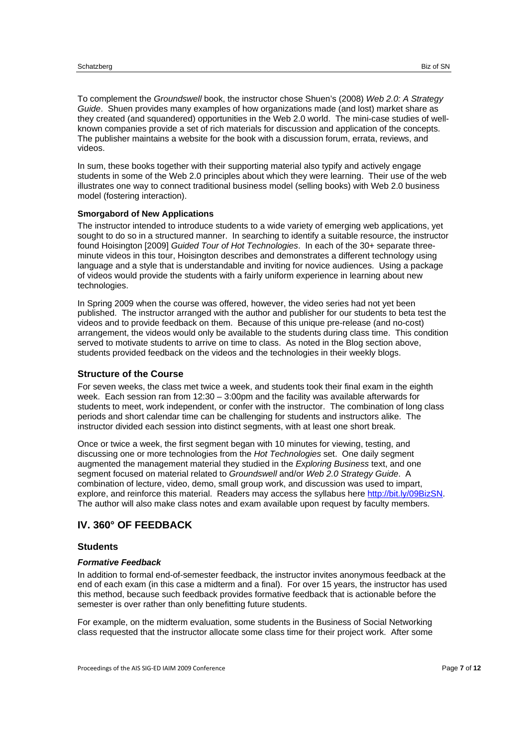To complement the *Groundswell* book, the instructor chose Shuen's (2008) *Web 2.0: A Strategy Guide*. Shuen provides many examples of how organizations made (and lost) market share as they created (and squandered) opportunities in the Web 2.0 world. The mini-case studies of wellknown companies provide a set of rich materials for discussion and application of the concepts. The publisher maintains a website for the book with a discussion forum, errata, reviews, and videos.

In sum, these books together with their supporting material also typify and actively engage students in some of the Web 2.0 principles about which they were learning. Their use of the web illustrates one way to connect traditional business model (selling books) with Web 2.0 business model (fostering interaction).

#### **Smorgabord of New Applications**

The instructor intended to introduce students to a wide variety of emerging web applications, yet sought to do so in a structured manner. In searching to identify a suitable resource, the instructor found Hoisington [2009] *Guided Tour of Hot Technologies*. In each of the 30+ separate threeminute videos in this tour, Hoisington describes and demonstrates a different technology using language and a style that is understandable and inviting for novice audiences. Using a package of videos would provide the students with a fairly uniform experience in learning about new technologies.

In Spring 2009 when the course was offered, however, the video series had not yet been published. The instructor arranged with the author and publisher for our students to beta test the videos and to provide feedback on them. Because of this unique pre-release (and no-cost) arrangement, the videos would only be available to the students during class time. This condition served to motivate students to arrive on time to class. As noted in the Blog section above, students provided feedback on the videos and the technologies in their weekly blogs.

#### **Structure of the Course**

For seven weeks, the class met twice a week, and students took their final exam in the eighth week. Each session ran from 12:30 – 3:00pm and the facility was available afterwards for students to meet, work independent, or confer with the instructor. The combination of long class periods and short calendar time can be challenging for students and instructors alike. The instructor divided each session into distinct segments, with at least one short break.

Once or twice a week, the first segment began with 10 minutes for viewing, testing, and discussing one or more technologies from the *Hot Technologies* set. One daily segment augmented the management material they studied in the *Exploring Business* text, and one segment focused on material related to *Groundswell* and/or *Web 2.0 Strategy Guide*. A combination of lecture, video, demo, small group work, and discussion was used to impart, explore, and reinforce this material. Readers may access the syllabus here http://bit.ly/09BizSN. The author will also make class notes and exam available upon request by faculty members.

# **IV. 360° OF FEEDBACK**

#### **Students**

#### *Formative Feedback*

In addition to formal end-of-semester feedback, the instructor invites anonymous feedback at the end of each exam (in this case a midterm and a final). For over 15 years, the instructor has used this method, because such feedback provides formative feedback that is actionable before the semester is over rather than only benefitting future students.

For example, on the midterm evaluation, some students in the Business of Social Networking class requested that the instructor allocate some class time for their project work. After some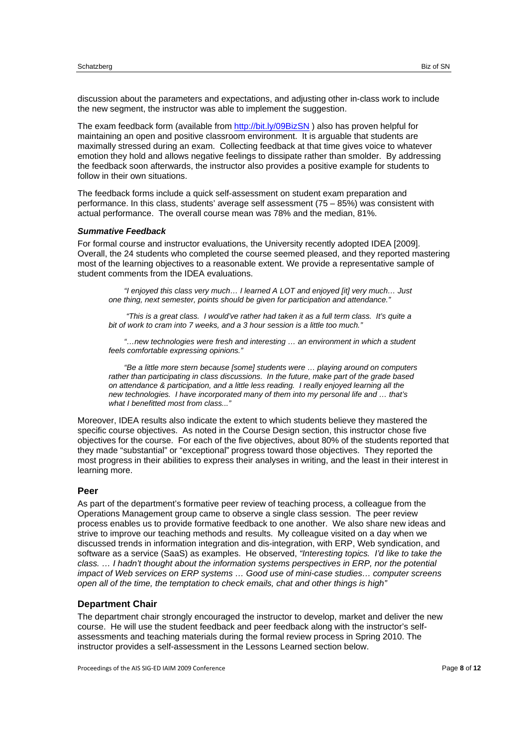discussion about the parameters and expectations, and adjusting other in-class work to include the new segment, the instructor was able to implement the suggestion.

The exam feedback form (available from http://bit.ly/09BizSN ) also has proven helpful for maintaining an open and positive classroom environment. It is arguable that students are maximally stressed during an exam. Collecting feedback at that time gives voice to whatever emotion they hold and allows negative feelings to dissipate rather than smolder. By addressing the feedback soon afterwards, the instructor also provides a positive example for students to follow in their own situations.

The feedback forms include a quick self-assessment on student exam preparation and performance. In this class, students' average self assessment (75 – 85%) was consistent with actual performance. The overall course mean was 78% and the median, 81%.

#### *Summative Feedback*

For formal course and instructor evaluations, the University recently adopted IDEA [2009]. Overall, the 24 students who completed the course seemed pleased, and they reported mastering most of the learning objectives to a reasonable extent. We provide a representative sample of student comments from the IDEA evaluations.

*"I enjoyed this class very much… I learned A LOT and enjoyed [it] very much… Just one thing, next semester, points should be given for participation and attendance."* 

 *"This is a great class. I would've rather had taken it as a full term class. It's quite a bit of work to cram into 7 weeks, and a 3 hour session is a little too much."* 

*"…new technologies were fresh and interesting … an environment in which a student feels comfortable expressing opinions."* 

*"Be a little more stern because [some] students were … playing around on computers rather than participating in class discussions. In the future, make part of the grade based on attendance & participation, and a little less reading. I really enjoyed learning all the new technologies. I have incorporated many of them into my personal life and … that's what I benefitted most from class..."* 

Moreover, IDEA results also indicate the extent to which students believe they mastered the specific course objectives. As noted in the Course Design section, this instructor chose five objectives for the course. For each of the five objectives, about 80% of the students reported that they made "substantial" or "exceptional" progress toward those objectives. They reported the most progress in their abilities to express their analyses in writing, and the least in their interest in learning more.

#### **Peer**

As part of the department's formative peer review of teaching process, a colleague from the Operations Management group came to observe a single class session. The peer review process enables us to provide formative feedback to one another. We also share new ideas and strive to improve our teaching methods and results. My colleague visited on a day when we discussed trends in information integration and dis-integration, with ERP, Web syndication, and software as a service (SaaS) as examples. He observed, *"Interesting topics. I'd like to take the class. ...* I hadn't thought about the information systems perspectives in ERP, nor the potential *impact of Web services on ERP systems … Good use of mini-case studies… computer screens open all of the time, the temptation to check emails, chat and other things is high"* 

#### **Department Chair**

The department chair strongly encouraged the instructor to develop, market and deliver the new course. He will use the student feedback and peer feedback along with the instructor's selfassessments and teaching materials during the formal review process in Spring 2010. The instructor provides a self-assessment in the Lessons Learned section below.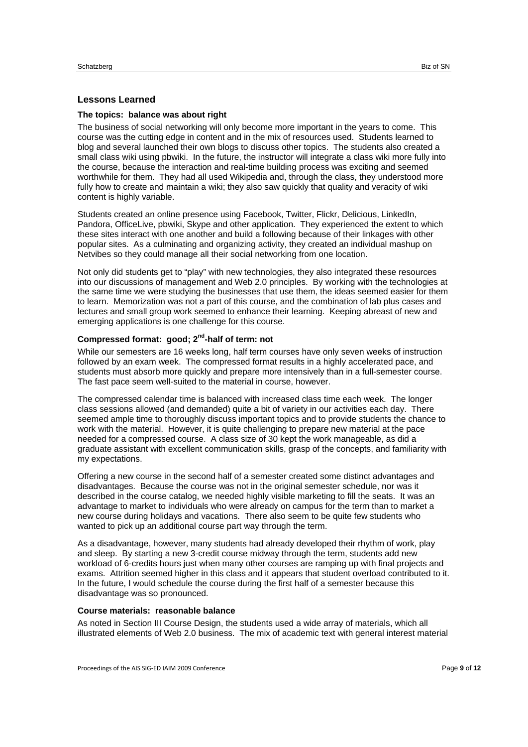#### **Lessons Learned**

#### **The topics: balance was about right**

The business of social networking will only become more important in the years to come. This course was the cutting edge in content and in the mix of resources used. Students learned to blog and several launched their own blogs to discuss other topics. The students also created a small class wiki using pbwiki. In the future, the instructor will integrate a class wiki more fully into the course, because the interaction and real-time building process was exciting and seemed worthwhile for them. They had all used Wikipedia and, through the class, they understood more fully how to create and maintain a wiki; they also saw quickly that quality and veracity of wiki content is highly variable.

Students created an online presence using Facebook, Twitter, Flickr, Delicious, LinkedIn, Pandora, OfficeLive, pbwiki, Skype and other application. They experienced the extent to which these sites interact with one another and build a following because of their linkages with other popular sites. As a culminating and organizing activity, they created an individual mashup on Netvibes so they could manage all their social networking from one location.

Not only did students get to "play" with new technologies, they also integrated these resources into our discussions of management and Web 2.0 principles. By working with the technologies at the same time we were studying the businesses that use them, the ideas seemed easier for them to learn. Memorization was not a part of this course, and the combination of lab plus cases and lectures and small group work seemed to enhance their learning. Keeping abreast of new and emerging applications is one challenge for this course.

# **Compressed format: good; 2nd-half of term: not**

While our semesters are 16 weeks long, half term courses have only seven weeks of instruction followed by an exam week. The compressed format results in a highly accelerated pace, and students must absorb more quickly and prepare more intensively than in a full-semester course. The fast pace seem well-suited to the material in course, however.

The compressed calendar time is balanced with increased class time each week. The longer class sessions allowed (and demanded) quite a bit of variety in our activities each day. There seemed ample time to thoroughly discuss important topics and to provide students the chance to work with the material. However, it is quite challenging to prepare new material at the pace needed for a compressed course. A class size of 30 kept the work manageable, as did a graduate assistant with excellent communication skills, grasp of the concepts, and familiarity with my expectations.

Offering a new course in the second half of a semester created some distinct advantages and disadvantages. Because the course was not in the original semester schedule, nor was it described in the course catalog, we needed highly visible marketing to fill the seats. It was an advantage to market to individuals who were already on campus for the term than to market a new course during holidays and vacations. There also seem to be quite few students who wanted to pick up an additional course part way through the term.

As a disadvantage, however, many students had already developed their rhythm of work, play and sleep. By starting a new 3-credit course midway through the term, students add new workload of 6-credits hours just when many other courses are ramping up with final projects and exams. Attrition seemed higher in this class and it appears that student overload contributed to it. In the future, I would schedule the course during the first half of a semester because this disadvantage was so pronounced.

#### **Course materials: reasonable balance**

As noted in Section III Course Design, the students used a wide array of materials, which all illustrated elements of Web 2.0 business. The mix of academic text with general interest material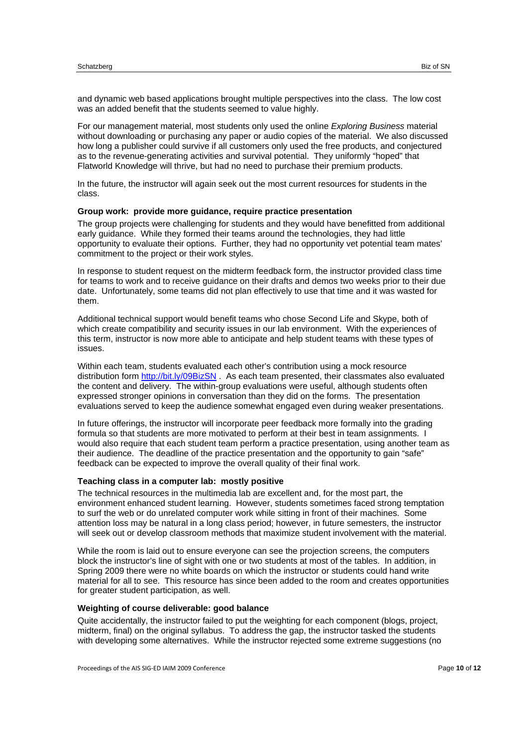and dynamic web based applications brought multiple perspectives into the class. The low cost was an added benefit that the students seemed to value highly.

For our management material, most students only used the online *Exploring Business* material without downloading or purchasing any paper or audio copies of the material. We also discussed how long a publisher could survive if all customers only used the free products, and conjectured as to the revenue-generating activities and survival potential. They uniformly "hoped" that Flatworld Knowledge will thrive, but had no need to purchase their premium products.

In the future, the instructor will again seek out the most current resources for students in the class.

#### **Group work: provide more guidance, require practice presentation**

The group projects were challenging for students and they would have benefitted from additional early guidance. While they formed their teams around the technologies, they had little opportunity to evaluate their options. Further, they had no opportunity vet potential team mates' commitment to the project or their work styles.

In response to student request on the midterm feedback form, the instructor provided class time for teams to work and to receive guidance on their drafts and demos two weeks prior to their due date. Unfortunately, some teams did not plan effectively to use that time and it was wasted for them.

Additional technical support would benefit teams who chose Second Life and Skype, both of which create compatibility and security issues in our lab environment. With the experiences of this term, instructor is now more able to anticipate and help student teams with these types of issues.

Within each team, students evaluated each other's contribution using a mock resource distribution form http://bit.ly/09BizSN . As each team presented, their classmates also evaluated the content and delivery. The within-group evaluations were useful, although students often expressed stronger opinions in conversation than they did on the forms. The presentation evaluations served to keep the audience somewhat engaged even during weaker presentations.

In future offerings, the instructor will incorporate peer feedback more formally into the grading formula so that students are more motivated to perform at their best in team assignments. I would also require that each student team perform a practice presentation, using another team as their audience. The deadline of the practice presentation and the opportunity to gain "safe" feedback can be expected to improve the overall quality of their final work.

### **Teaching class in a computer lab: mostly positive**

The technical resources in the multimedia lab are excellent and, for the most part, the environment enhanced student learning. However, students sometimes faced strong temptation to surf the web or do unrelated computer work while sitting in front of their machines. Some attention loss may be natural in a long class period; however, in future semesters, the instructor will seek out or develop classroom methods that maximize student involvement with the material.

While the room is laid out to ensure everyone can see the projection screens, the computers block the instructor's line of sight with one or two students at most of the tables. In addition, in Spring 2009 there were no white boards on which the instructor or students could hand write material for all to see. This resource has since been added to the room and creates opportunities for greater student participation, as well.

#### **Weighting of course deliverable: good balance**

Quite accidentally, the instructor failed to put the weighting for each component (blogs, project, midterm, final) on the original syllabus. To address the gap, the instructor tasked the students with developing some alternatives. While the instructor rejected some extreme suggestions (no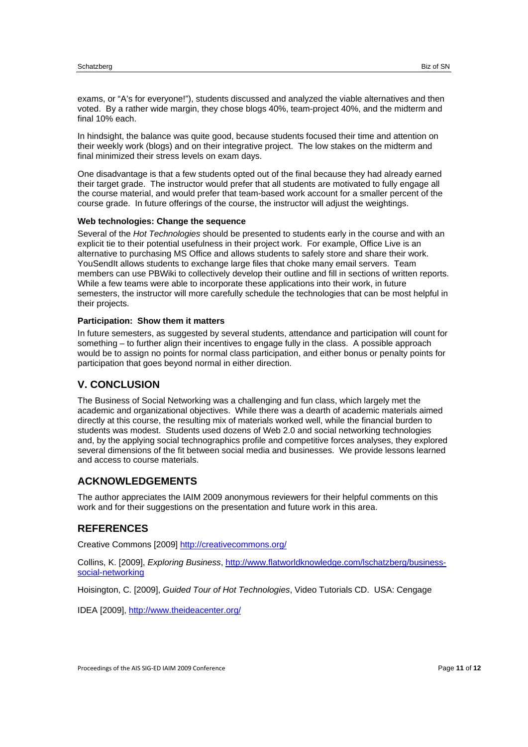exams, or "A's for everyone!"), students discussed and analyzed the viable alternatives and then voted. By a rather wide margin, they chose blogs 40%, team-project 40%, and the midterm and final 10% each.

In hindsight, the balance was quite good, because students focused their time and attention on their weekly work (blogs) and on their integrative project. The low stakes on the midterm and final minimized their stress levels on exam days.

One disadvantage is that a few students opted out of the final because they had already earned their target grade. The instructor would prefer that all students are motivated to fully engage all the course material, and would prefer that team-based work account for a smaller percent of the course grade. In future offerings of the course, the instructor will adjust the weightings.

#### **Web technologies: Change the sequence**

Several of the *Hot Technologies* should be presented to students early in the course and with an explicit tie to their potential usefulness in their project work. For example, Office Live is an alternative to purchasing MS Office and allows students to safely store and share their work. YouSendIt allows students to exchange large files that choke many email servers. Team members can use PBWiki to collectively develop their outline and fill in sections of written reports. While a few teams were able to incorporate these applications into their work, in future semesters, the instructor will more carefully schedule the technologies that can be most helpful in their projects.

#### **Participation: Show them it matters**

In future semesters, as suggested by several students, attendance and participation will count for something – to further align their incentives to engage fully in the class. A possible approach would be to assign no points for normal class participation, and either bonus or penalty points for participation that goes beyond normal in either direction.

# **V. CONCLUSION**

The Business of Social Networking was a challenging and fun class, which largely met the academic and organizational objectives. While there was a dearth of academic materials aimed directly at this course, the resulting mix of materials worked well, while the financial burden to students was modest. Students used dozens of Web 2.0 and social networking technologies and, by the applying social technographics profile and competitive forces analyses, they explored several dimensions of the fit between social media and businesses. We provide lessons learned and access to course materials.

# **ACKNOWLEDGEMENTS**

The author appreciates the IAIM 2009 anonymous reviewers for their helpful comments on this work and for their suggestions on the presentation and future work in this area.

# **REFERENCES**

Creative Commons [2009] http://creativecommons.org/

Collins, K. [2009], *Exploring Business*, http://www.flatworldknowledge.com/lschatzberg/businesssocial-networking

Hoisington, C. [2009], *Guided Tour of Hot Technologies*, Video Tutorials CD. USA: Cengage

IDEA [2009], http://www.theideacenter.org/